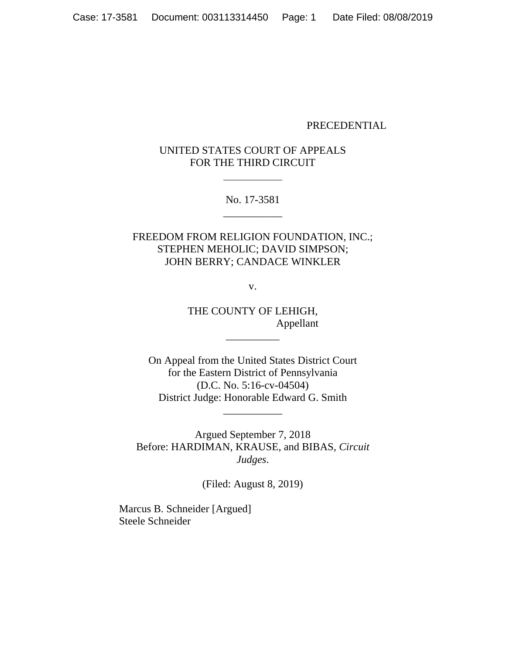#### PRECEDENTIAL

## UNITED STATES COURT OF APPEALS FOR THE THIRD CIRCUIT

No. 17-3581 \_\_\_\_\_\_\_\_\_\_\_

FREEDOM FROM RELIGION FOUNDATION, INC.; STEPHEN MEHOLIC; DAVID SIMPSON; JOHN BERRY; CANDACE WINKLER

v.

THE COUNTY OF LEHIGH, Appellant

\_\_\_\_\_\_\_\_\_\_

On Appeal from the United States District Court for the Eastern District of Pennsylvania (D.C. No. 5:16-cv-04504) District Judge: Honorable Edward G. Smith

\_\_\_\_\_\_\_\_\_\_\_

Argued September 7, 2018 Before: HARDIMAN, KRAUSE, and BIBAS, *Circuit Judges*.

(Filed: August 8, 2019)

Marcus B. Schneider [Argued] Steele Schneider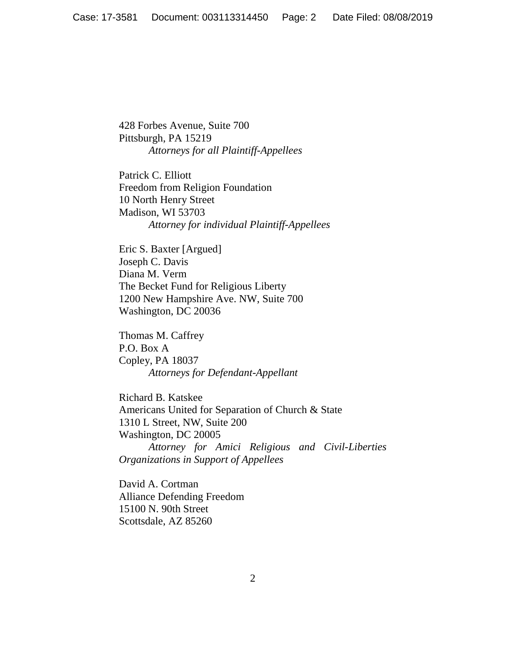428 Forbes Avenue, Suite 700 Pittsburgh, PA 15219 *Attorneys for all Plaintiff-Appellees*

Patrick C. Elliott Freedom from Religion Foundation 10 North Henry Street Madison, WI 53703 *Attorney for individual Plaintiff-Appellees*

Eric S. Baxter [Argued] Joseph C. Davis Diana M. Verm The Becket Fund for Religious Liberty 1200 New Hampshire Ave. NW, Suite 700 Washington, DC 20036

Thomas M. Caffrey P.O. Box A Copley, PA 18037 *Attorneys for Defendant-Appellant*

Richard B. Katskee Americans United for Separation of Church & State 1310 L Street, NW, Suite 200 Washington, DC 20005 *Attorney for Amici Religious and Civil-Liberties Organizations in Support of Appellees*

David A. Cortman Alliance Defending Freedom 15100 N. 90th Street Scottsdale, AZ 85260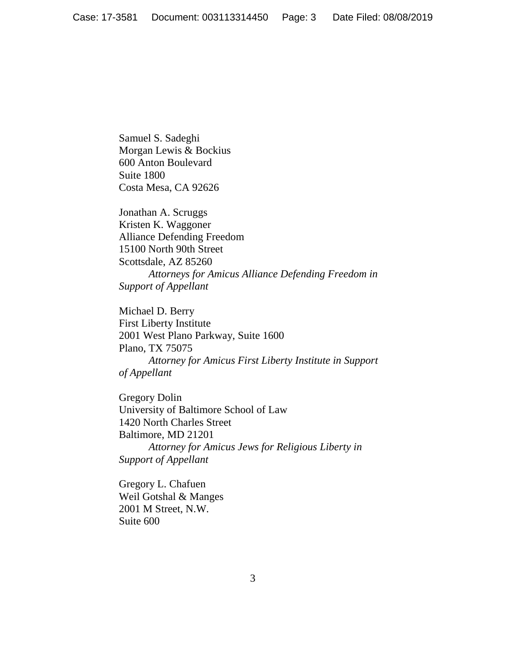Samuel S. Sadeghi Morgan Lewis & Bockius 600 Anton Boulevard Suite 1800 Costa Mesa, CA 92626

Jonathan A. Scruggs Kristen K. Waggoner Alliance Defending Freedom 15100 North 90th Street Scottsdale, AZ 85260 *Attorneys for Amicus Alliance Defending Freedom in Support of Appellant*

Michael D. Berry First Liberty Institute 2001 West Plano Parkway, Suite 1600 Plano, TX 75075 *Attorney for Amicus First Liberty Institute in Support of Appellant*

Gregory Dolin University of Baltimore School of Law 1420 North Charles Street Baltimore, MD 21201 *Attorney for Amicus Jews for Religious Liberty in Support of Appellant*

Gregory L. Chafuen Weil Gotshal & Manges 2001 M Street, N.W. Suite 600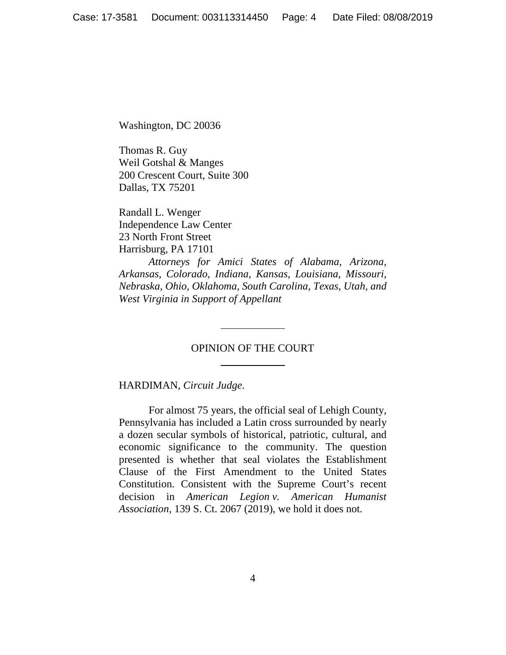Washington, DC 20036

Thomas R. Guy Weil Gotshal & Manges 200 Crescent Court, Suite 300 Dallas, TX 75201

Randall L. Wenger Independence Law Center 23 North Front Street Harrisburg, PA 17101

*Attorneys for Amici States of Alabama, Arizona, Arkansas, Colorado, Indiana, Kansas, Louisiana, Missouri, Nebraska, Ohio, Oklahoma, South Carolina, Texas, Utah, and West Virginia in Support of Appellant*

### OPINION OF THE COURT

HARDIMAN, *Circuit Judge*.

For almost 75 years, the official seal of Lehigh County, Pennsylvania has included a Latin cross surrounded by nearly a dozen secular symbols of historical, patriotic, cultural, and economic significance to the community. The question presented is whether that seal violates the Establishment Clause of the First Amendment to the United States Constitution. Consistent with the Supreme Court's recent decision in *American Legion v. American Humanist Association*, 139 S. Ct. 2067 (2019), we hold it does not.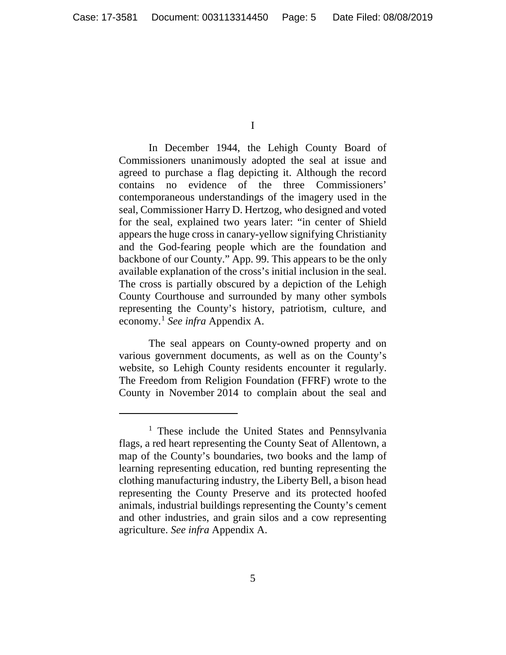I

In December 1944, the Lehigh County Board of Commissioners unanimously adopted the seal at issue and agreed to purchase a flag depicting it. Although the record contains no evidence of the three Commissioners' contemporaneous understandings of the imagery used in the seal, Commissioner Harry D. Hertzog, who designed and voted for the seal, explained two years later: "in center of Shield appears the huge cross in canary-yellow signifying Christianity and the God-fearing people which are the foundation and backbone of our County." App. 99. This appears to be the only available explanation of the cross's initial inclusion in the seal. The cross is partially obscured by a depiction of the Lehigh County Courthouse and surrounded by many other symbols representing the County's history, patriotism, culture, and economy. <sup>1</sup> *See infra* Appendix A.

The seal appears on County-owned property and on various government documents, as well as on the County's website, so Lehigh County residents encounter it regularly. The Freedom from Religion Foundation (FFRF) wrote to the County in November 2014 to complain about the seal and

<sup>&</sup>lt;sup>1</sup> These include the United States and Pennsylvania flags, a red heart representing the County Seat of Allentown, a map of the County's boundaries, two books and the lamp of learning representing education, red bunting representing the clothing manufacturing industry, the Liberty Bell, a bison head representing the County Preserve and its protected hoofed animals, industrial buildings representing the County's cement and other industries, and grain silos and a cow representing agriculture. *See infra* Appendix A.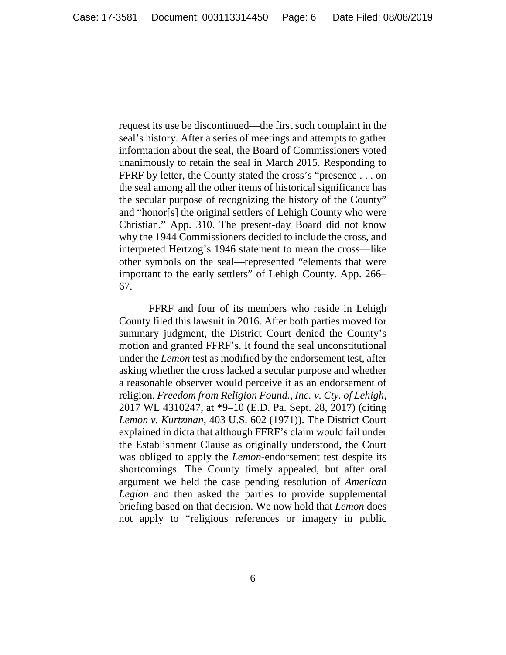request its use be discontinued—the first such complaint in the seal's history. After a series of meetings and attempts to gather information about the seal, the Board of Commissioners voted unanimously to retain the seal in March 2015. Responding to FFRF by letter, the County stated the cross's "presence . . . on the seal among all the other items of historical significance has the secular purpose of recognizing the history of the County" and "honor[s] the original settlers of Lehigh County who were Christian." App. 310. The present-day Board did not know why the 1944 Commissioners decided to include the cross, and interpreted Hertzog's 1946 statement to mean the cross—like other symbols on the seal—represented "elements that were important to the early settlers" of Lehigh County. App. 266– 67.

FFRF and four of its members who reside in Lehigh County filed this lawsuit in 2016. After both parties moved for summary judgment, the District Court denied the County's motion and granted FFRF's. It found the seal unconstitutional under the *Lemon* test as modified by the endorsement test, after asking whether the cross lacked a secular purpose and whether a reasonable observer would perceive it as an endorsement of religion. *Freedom from Religion Found., Inc. v. Cty. of Lehigh*, 2017 WL 4310247, at \*9–10 (E.D. Pa. Sept. 28, 2017) (citing *Lemon v. Kurtzman*, 403 U.S. 602 (1971)). The District Court explained in dicta that although FFRF's claim would fail under the Establishment Clause as originally understood, the Court was obliged to apply the *Lemon*-endorsement test despite its shortcomings. The County timely appealed, but after oral argument we held the case pending resolution of *American Legion* and then asked the parties to provide supplemental briefing based on that decision. We now hold that *Lemon* does not apply to "religious references or imagery in public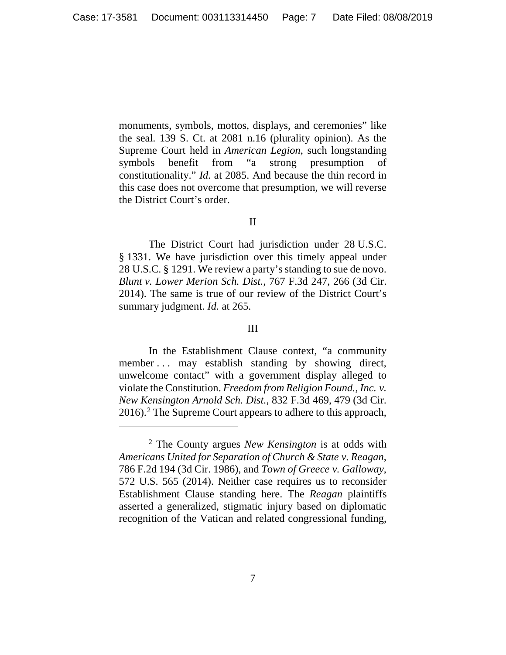monuments, symbols, mottos, displays, and ceremonies" like the seal. 139 S. Ct. at 2081 n.16 (plurality opinion). As the Supreme Court held in *American Legion*, such longstanding symbols benefit from "a strong presumption of constitutionality." *Id.* at 2085. And because the thin record in this case does not overcome that presumption, we will reverse the District Court's order.

#### II

The District Court had jurisdiction under 28 U.S.C. § 1331. We have jurisdiction over this timely appeal under 28 U.S.C. § 1291. We review a party's standing to sue de novo. *Blunt v. Lower Merion Sch. Dist.*, 767 F.3d 247, 266 (3d Cir. 2014). The same is true of our review of the District Court's summary judgment. *Id.* at 265.

#### III

In the Establishment Clause context, "a community member . . . may establish standing by showing direct, unwelcome contact" with a government display alleged to violate the Constitution. *Freedom from Religion Found., Inc. v. New Kensington Arnold Sch. Dist.*, 832 F.3d 469, 479 (3d Cir. 2016).2 The Supreme Court appears to adhere to this approach,

<sup>2</sup> The County argues *New Kensington* is at odds with *Americans United for Separation of Church & State v. Reagan*, 786 F.2d 194 (3d Cir. 1986), and *Town of Greece v. Galloway*, 572 U.S. 565 (2014). Neither case requires us to reconsider Establishment Clause standing here. The *Reagan* plaintiffs asserted a generalized, stigmatic injury based on diplomatic recognition of the Vatican and related congressional funding,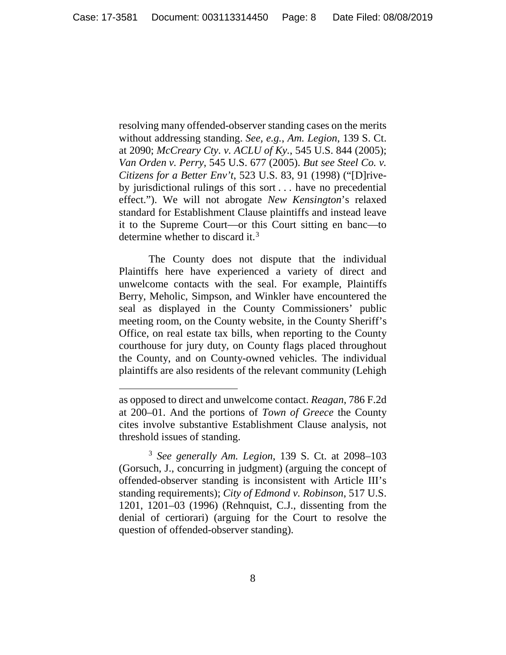resolving many offended-observer standing cases on the merits without addressing standing. *See, e.g.*, *Am. Legion*, 139 S. Ct. at 2090; *McCreary Cty. v. ACLU of Ky.*, 545 U.S. 844 (2005); *Van Orden v. Perry*, 545 U.S. 677 (2005). *But see Steel Co. v. Citizens for a Better Env't*, 523 U.S. 83, 91 (1998) ("[D]riveby jurisdictional rulings of this sort . . . have no precedential effect."). We will not abrogate *New Kensington*'s relaxed standard for Establishment Clause plaintiffs and instead leave it to the Supreme Court—or this Court sitting en banc—to determine whether to discard it.<sup>3</sup>

The County does not dispute that the individual Plaintiffs here have experienced a variety of direct and unwelcome contacts with the seal. For example, Plaintiffs Berry, Meholic, Simpson, and Winkler have encountered the seal as displayed in the County Commissioners' public meeting room, on the County website, in the County Sheriff's Office, on real estate tax bills, when reporting to the County courthouse for jury duty, on County flags placed throughout the County, and on County-owned vehicles. The individual plaintiffs are also residents of the relevant community (Lehigh

as opposed to direct and unwelcome contact. *Reagan*, 786 F.2d at 200–01. And the portions of *Town of Greece* the County cites involve substantive Establishment Clause analysis, not threshold issues of standing.

<sup>3</sup> *See generally Am. Legion*, 139 S. Ct. at 2098–103 (Gorsuch, J., concurring in judgment) (arguing the concept of offended-observer standing is inconsistent with Article III's standing requirements); *City of Edmond v. Robinson*, 517 U.S. 1201, 1201–03 (1996) (Rehnquist, C.J., dissenting from the denial of certiorari) (arguing for the Court to resolve the question of offended-observer standing).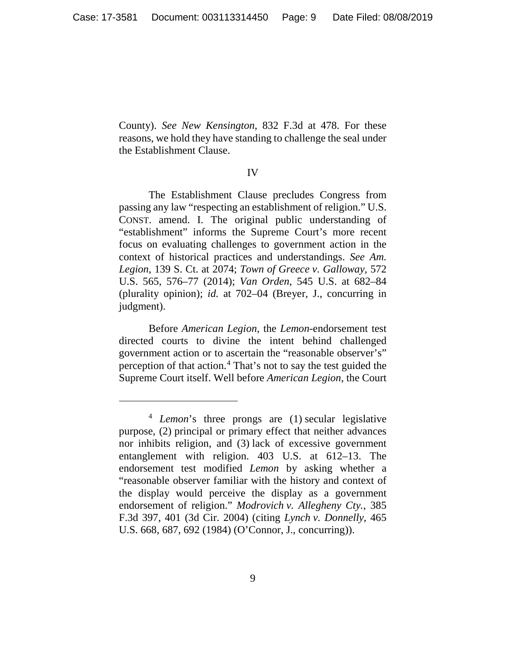County). *See New Kensington*, 832 F.3d at 478. For these reasons, we hold they have standing to challenge the seal under the Establishment Clause.

#### IV

The Establishment Clause precludes Congress from passing any law "respecting an establishment of religion." U.S. CONST. amend. I. The original public understanding of "establishment" informs the Supreme Court's more recent focus on evaluating challenges to government action in the context of historical practices and understandings. *See Am. Legion*, 139 S. Ct. at 2074; *Town of Greece v. Galloway*, 572 U.S. 565, 576–77 (2014); *Van Orden*, 545 U.S. at 682–84 (plurality opinion); *id.* at 702–04 (Breyer, J., concurring in judgment).

Before *American Legion*, the *Lemon*-endorsement test directed courts to divine the intent behind challenged government action or to ascertain the "reasonable observer's" perception of that action.4 That's not to say the test guided the Supreme Court itself. Well before *American Legion*, the Court

<sup>4</sup> *Lemon*'s three prongs are (1) secular legislative purpose, (2) principal or primary effect that neither advances nor inhibits religion, and (3) lack of excessive government entanglement with religion. 403 U.S. at 612–13. The endorsement test modified *Lemon* by asking whether a "reasonable observer familiar with the history and context of the display would perceive the display as a government endorsement of religion." *Modrovich v. Allegheny Cty.*, 385 F.3d 397, 401 (3d Cir. 2004) (citing *Lynch v. Donnelly*, 465 U.S. 668, 687, 692 (1984) (O'Connor, J., concurring)).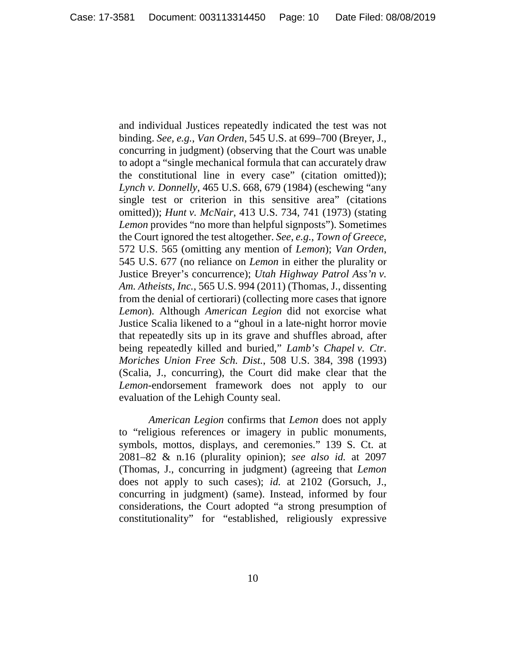and individual Justices repeatedly indicated the test was not binding. *See, e.g.*, *Van Orden*, 545 U.S. at 699–700 (Breyer, J., concurring in judgment) (observing that the Court was unable to adopt a "single mechanical formula that can accurately draw the constitutional line in every case" (citation omitted)); *Lynch v. Donnelly*, 465 U.S. 668, 679 (1984) (eschewing "any single test or criterion in this sensitive area" (citations omitted)); *Hunt v. McNair*, 413 U.S. 734, 741 (1973) (stating *Lemon* provides "no more than helpful signposts"). Sometimes the Court ignored the test altogether. *See, e.g.*, *Town of Greece*, 572 U.S. 565 (omitting any mention of *Lemon*); *Van Orden*, 545 U.S. 677 (no reliance on *Lemon* in either the plurality or Justice Breyer's concurrence); *Utah Highway Patrol Ass'n v. Am. Atheists, Inc.*, 565 U.S. 994 (2011) (Thomas, J., dissenting from the denial of certiorari) (collecting more cases that ignore *Lemon*). Although *American Legion* did not exorcise what Justice Scalia likened to a "ghoul in a late-night horror movie that repeatedly sits up in its grave and shuffles abroad, after being repeatedly killed and buried," *Lamb's Chapel v. Ctr. Moriches Union Free Sch. Dist.*, 508 U.S. 384, 398 (1993) (Scalia, J., concurring), the Court did make clear that the *Lemon*-endorsement framework does not apply to our evaluation of the Lehigh County seal.

*American Legion* confirms that *Lemon* does not apply to "religious references or imagery in public monuments, symbols, mottos, displays, and ceremonies." 139 S. Ct. at 2081–82 & n.16 (plurality opinion); *see also id.* at 2097 (Thomas, J., concurring in judgment) (agreeing that *Lemon* does not apply to such cases); *id.* at 2102 (Gorsuch, J., concurring in judgment) (same). Instead, informed by four considerations, the Court adopted "a strong presumption of constitutionality" for "established, religiously expressive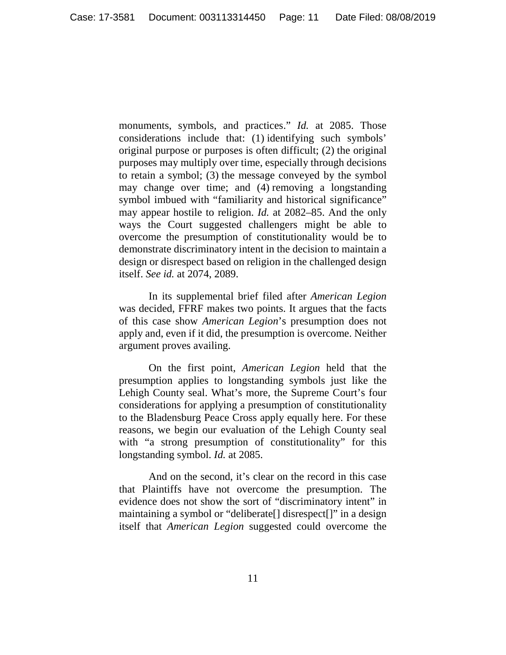monuments, symbols, and practices." *Id.* at 2085. Those considerations include that: (1) identifying such symbols' original purpose or purposes is often difficult; (2) the original purposes may multiply over time, especially through decisions to retain a symbol; (3) the message conveyed by the symbol may change over time; and (4) removing a longstanding symbol imbued with "familiarity and historical significance" may appear hostile to religion. *Id.* at 2082–85. And the only ways the Court suggested challengers might be able to overcome the presumption of constitutionality would be to demonstrate discriminatory intent in the decision to maintain a design or disrespect based on religion in the challenged design itself. *See id.* at 2074, 2089.

In its supplemental brief filed after *American Legion* was decided, FFRF makes two points. It argues that the facts of this case show *American Legion*'s presumption does not apply and, even if it did, the presumption is overcome. Neither argument proves availing.

On the first point, *American Legion* held that the presumption applies to longstanding symbols just like the Lehigh County seal. What's more, the Supreme Court's four considerations for applying a presumption of constitutionality to the Bladensburg Peace Cross apply equally here. For these reasons, we begin our evaluation of the Lehigh County seal with "a strong presumption of constitutionality" for this longstanding symbol. *Id.* at 2085.

And on the second, it's clear on the record in this case that Plaintiffs have not overcome the presumption. The evidence does not show the sort of "discriminatory intent" in maintaining a symbol or "deliberate[] disrespect[]" in a design itself that *American Legion* suggested could overcome the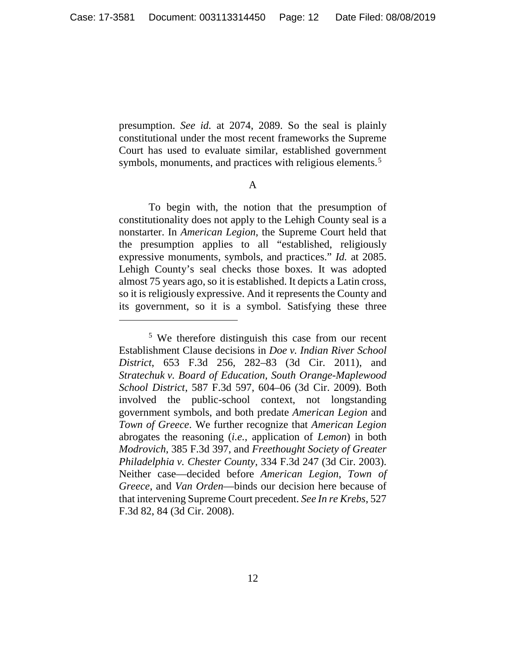presumption. *See id.* at 2074, 2089. So the seal is plainly constitutional under the most recent frameworks the Supreme Court has used to evaluate similar, established government symbols, monuments, and practices with religious elements.<sup>5</sup>

#### A

To begin with, the notion that the presumption of constitutionality does not apply to the Lehigh County seal is a nonstarter. In *American Legion*, the Supreme Court held that the presumption applies to all "established, religiously expressive monuments, symbols, and practices." *Id.* at 2085. Lehigh County's seal checks those boxes. It was adopted almost 75 years ago, so it is established. It depicts a Latin cross, so it is religiously expressive. And it represents the County and its government, so it is a symbol. Satisfying these three

<sup>5</sup> We therefore distinguish this case from our recent Establishment Clause decisions in *Doe v. Indian River School District*, 653 F.3d 256, 282–83 (3d Cir. 2011), and *Stratechuk v. Board of Education, South Orange-Maplewood School District*, 587 F.3d 597, 604–06 (3d Cir. 2009). Both involved the public-school context, not longstanding government symbols, and both predate *American Legion* and *Town of Greece*. We further recognize that *American Legion* abrogates the reasoning (*i.e.*, application of *Lemon*) in both *Modrovich*, 385 F.3d 397, and *Freethought Society of Greater Philadelphia v. Chester County*, 334 F.3d 247 (3d Cir. 2003). Neither case—decided before *American Legion*, *Town of Greece*, and *Van Orden*—binds our decision here because of that intervening Supreme Court precedent. *See In re Krebs*, 527 F.3d 82, 84 (3d Cir. 2008).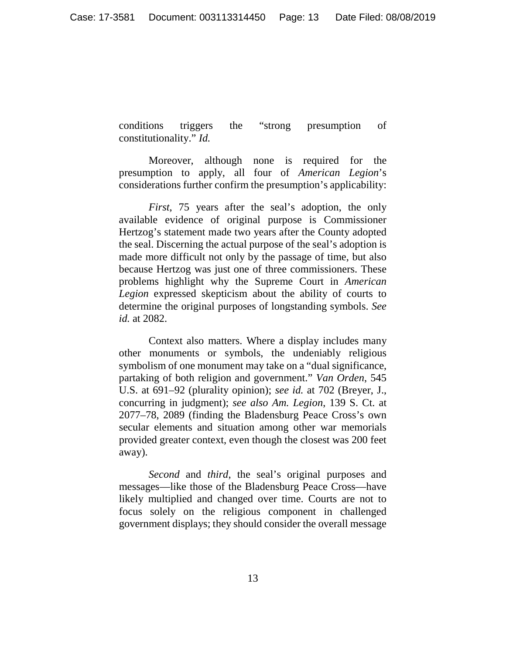conditions triggers the "strong presumption of constitutionality." *Id.*

Moreover, although none is required for the presumption to apply, all four of *American Legion*'s considerations further confirm the presumption's applicability:

*First*, 75 years after the seal's adoption, the only available evidence of original purpose is Commissioner Hertzog's statement made two years after the County adopted the seal. Discerning the actual purpose of the seal's adoption is made more difficult not only by the passage of time, but also because Hertzog was just one of three commissioners. These problems highlight why the Supreme Court in *American Legion* expressed skepticism about the ability of courts to determine the original purposes of longstanding symbols. *See id.* at 2082.

Context also matters. Where a display includes many other monuments or symbols, the undeniably religious symbolism of one monument may take on a "dual significance, partaking of both religion and government." *Van Orden*, 545 U.S. at 691–92 (plurality opinion); *see id.* at 702 (Breyer, J., concurring in judgment); *see also Am. Legion*, 139 S. Ct. at 2077–78, 2089 (finding the Bladensburg Peace Cross's own secular elements and situation among other war memorials provided greater context, even though the closest was 200 feet away).

*Second* and *third*, the seal's original purposes and messages—like those of the Bladensburg Peace Cross—have likely multiplied and changed over time. Courts are not to focus solely on the religious component in challenged government displays; they should consider the overall message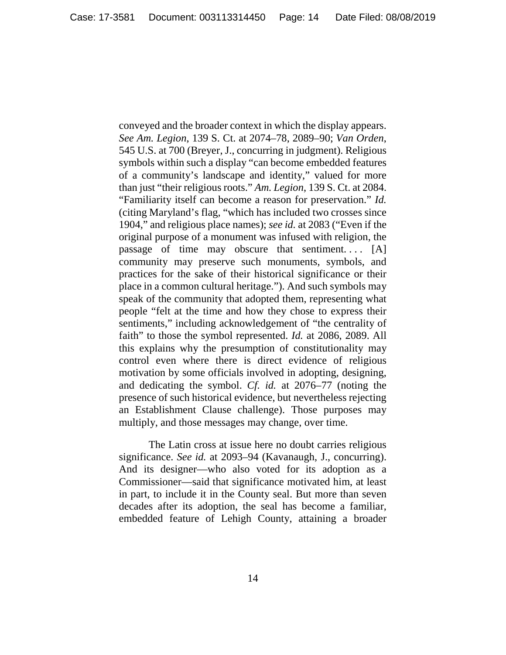conveyed and the broader context in which the display appears. *See Am. Legion*, 139 S. Ct. at 2074–78, 2089–90; *Van Orden*, 545 U.S. at 700 (Breyer, J., concurring in judgment). Religious symbols within such a display "can become embedded features of a community's landscape and identity," valued for more than just "their religious roots." *Am. Legion*, 139 S. Ct. at 2084. "Familiarity itself can become a reason for preservation." *Id.* (citing Maryland's flag, "which has included two crosses since 1904," and religious place names); *see id.* at 2083 ("Even if the original purpose of a monument was infused with religion, the passage of time may obscure that sentiment....  $[A]$ community may preserve such monuments, symbols, and practices for the sake of their historical significance or their place in a common cultural heritage."). And such symbols may speak of the community that adopted them, representing what people "felt at the time and how they chose to express their sentiments," including acknowledgement of "the centrality of faith" to those the symbol represented. *Id.* at 2086, 2089. All this explains why the presumption of constitutionality may control even where there is direct evidence of religious motivation by some officials involved in adopting, designing, and dedicating the symbol. *Cf. id.* at 2076–77 (noting the presence of such historical evidence, but nevertheless rejecting an Establishment Clause challenge). Those purposes may multiply, and those messages may change, over time.

The Latin cross at issue here no doubt carries religious significance. *See id.* at 2093–94 (Kavanaugh, J., concurring). And its designer—who also voted for its adoption as a Commissioner—said that significance motivated him, at least in part, to include it in the County seal. But more than seven decades after its adoption, the seal has become a familiar, embedded feature of Lehigh County, attaining a broader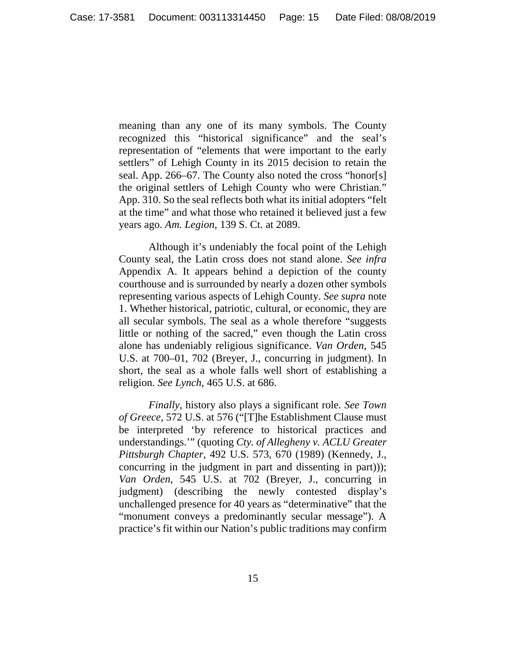meaning than any one of its many symbols. The County recognized this "historical significance" and the seal's representation of "elements that were important to the early settlers" of Lehigh County in its 2015 decision to retain the seal. App. 266–67. The County also noted the cross "honor[s] the original settlers of Lehigh County who were Christian." App. 310. So the seal reflects both what its initial adopters "felt at the time" and what those who retained it believed just a few years ago. *Am. Legion*, 139 S. Ct. at 2089.

Although it's undeniably the focal point of the Lehigh County seal, the Latin cross does not stand alone. *See infra* Appendix A. It appears behind a depiction of the county courthouse and is surrounded by nearly a dozen other symbols representing various aspects of Lehigh County. *See supra* note 1. Whether historical, patriotic, cultural, or economic, they are all secular symbols. The seal as a whole therefore "suggests little or nothing of the sacred," even though the Latin cross alone has undeniably religious significance. *Van Orden*, 545 U.S. at 700–01, 702 (Breyer, J., concurring in judgment). In short, the seal as a whole falls well short of establishing a religion. *See Lynch*, 465 U.S. at 686.

*Finally*, history also plays a significant role. *See Town of Greece*, 572 U.S. at 576 ("[T]he Establishment Clause must be interpreted 'by reference to historical practices and understandings.'" (quoting *Cty. of Allegheny v. ACLU Greater Pittsburgh Chapter*, 492 U.S. 573, 670 (1989) (Kennedy, J., concurring in the judgment in part and dissenting in part))); *Van Orden*, 545 U.S. at 702 (Breyer, J., concurring in judgment) (describing the newly contested display's unchallenged presence for 40 years as "determinative" that the "monument conveys a predominantly secular message"). A practice's fit within our Nation's public traditions may confirm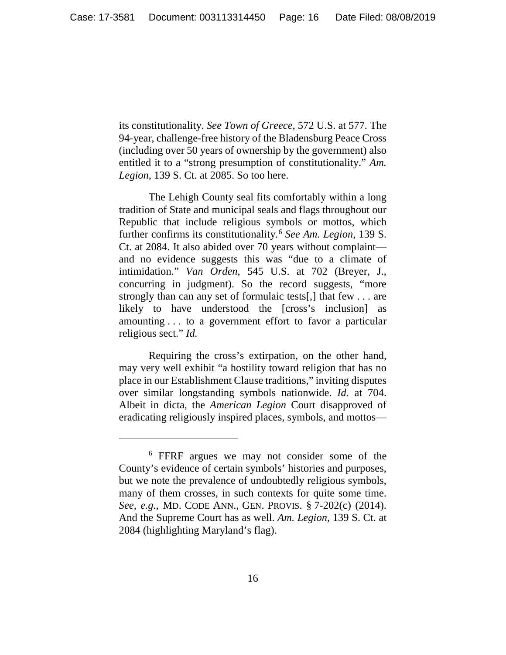its constitutionality. *See Town of Greece*, 572 U.S. at 577. The 94-year, challenge-free history of the Bladensburg Peace Cross (including over 50 years of ownership by the government) also entitled it to a "strong presumption of constitutionality." *Am. Legion*, 139 S. Ct. at 2085. So too here.

The Lehigh County seal fits comfortably within a long tradition of State and municipal seals and flags throughout our Republic that include religious symbols or mottos, which further confirms its constitutionality. <sup>6</sup> *See Am. Legion*, 139 S. Ct. at 2084. It also abided over 70 years without complaint and no evidence suggests this was "due to a climate of intimidation." *Van Orden*, 545 U.S. at 702 (Breyer, J., concurring in judgment). So the record suggests, "more strongly than can any set of formulaic tests[,] that few . . . are likely to have understood the [cross's inclusion] as amounting . . . to a government effort to favor a particular religious sect." *Id.*

Requiring the cross's extirpation, on the other hand, may very well exhibit "a hostility toward religion that has no place in our Establishment Clause traditions," inviting disputes over similar longstanding symbols nationwide. *Id.* at 704. Albeit in dicta, the *American Legion* Court disapproved of eradicating religiously inspired places, symbols, and mottos—

<sup>6</sup> FFRF argues we may not consider some of the County's evidence of certain symbols' histories and purposes, but we note the prevalence of undoubtedly religious symbols, many of them crosses, in such contexts for quite some time. *See, e.g.*, MD. CODE ANN., GEN. PROVIS. § 7-202(c) (2014). And the Supreme Court has as well. *Am. Legion*, 139 S. Ct. at 2084 (highlighting Maryland's flag).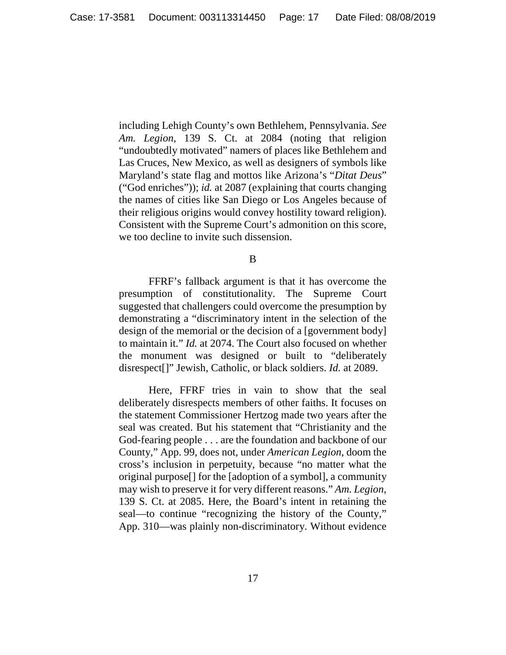including Lehigh County's own Bethlehem, Pennsylvania. *See Am. Legion*, 139 S. Ct. at 2084 (noting that religion "undoubtedly motivated" namers of places like Bethlehem and Las Cruces, New Mexico, as well as designers of symbols like Maryland's state flag and mottos like Arizona's "*Ditat Deus*" ("God enriches")); *id.* at 2087 (explaining that courts changing the names of cities like San Diego or Los Angeles because of their religious origins would convey hostility toward religion). Consistent with the Supreme Court's admonition on this score, we too decline to invite such dissension.

B

FFRF's fallback argument is that it has overcome the presumption of constitutionality. The Supreme Court suggested that challengers could overcome the presumption by demonstrating a "discriminatory intent in the selection of the design of the memorial or the decision of a [government body] to maintain it." *Id.* at 2074. The Court also focused on whether the monument was designed or built to "deliberately disrespect[]" Jewish, Catholic, or black soldiers. *Id.* at 2089.

Here, FFRF tries in vain to show that the seal deliberately disrespects members of other faiths. It focuses on the statement Commissioner Hertzog made two years after the seal was created. But his statement that "Christianity and the God-fearing people . . . are the foundation and backbone of our County," App. 99, does not, under *American Legion*, doom the cross's inclusion in perpetuity, because "no matter what the original purpose[] for the [adoption of a symbol], a community may wish to preserve it for very different reasons." *Am. Legion*, 139 S. Ct. at 2085. Here, the Board's intent in retaining the seal—to continue "recognizing the history of the County," App. 310—was plainly non-discriminatory. Without evidence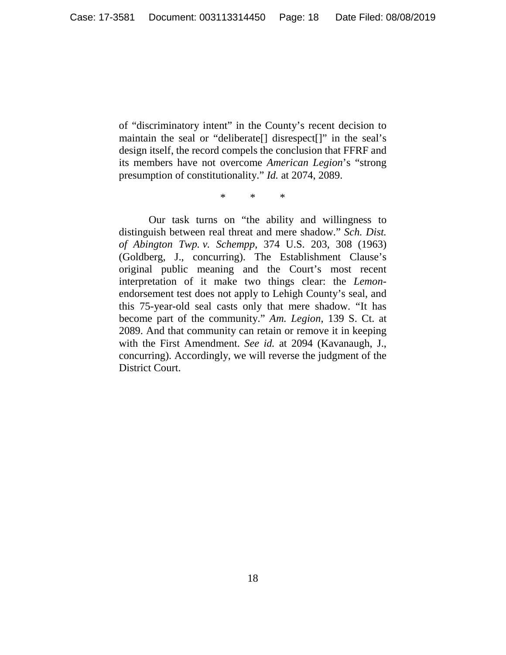of "discriminatory intent" in the County's recent decision to maintain the seal or "deliberate[] disrespect[]" in the seal's design itself, the record compels the conclusion that FFRF and its members have not overcome *American Legion*'s "strong presumption of constitutionality." *Id.* at 2074, 2089.

\* \* \*

Our task turns on "the ability and willingness to distinguish between real threat and mere shadow." *Sch. Dist. of Abington Twp. v. Schempp*, 374 U.S. 203, 308 (1963) (Goldberg, J., concurring). The Establishment Clause's original public meaning and the Court's most recent interpretation of it make two things clear: the *Lemon*endorsement test does not apply to Lehigh County's seal, and this 75-year-old seal casts only that mere shadow. "It has become part of the community." *Am. Legion*, 139 S. Ct. at 2089. And that community can retain or remove it in keeping with the First Amendment. *See id.* at 2094 (Kavanaugh, J., concurring). Accordingly, we will reverse the judgment of the District Court.